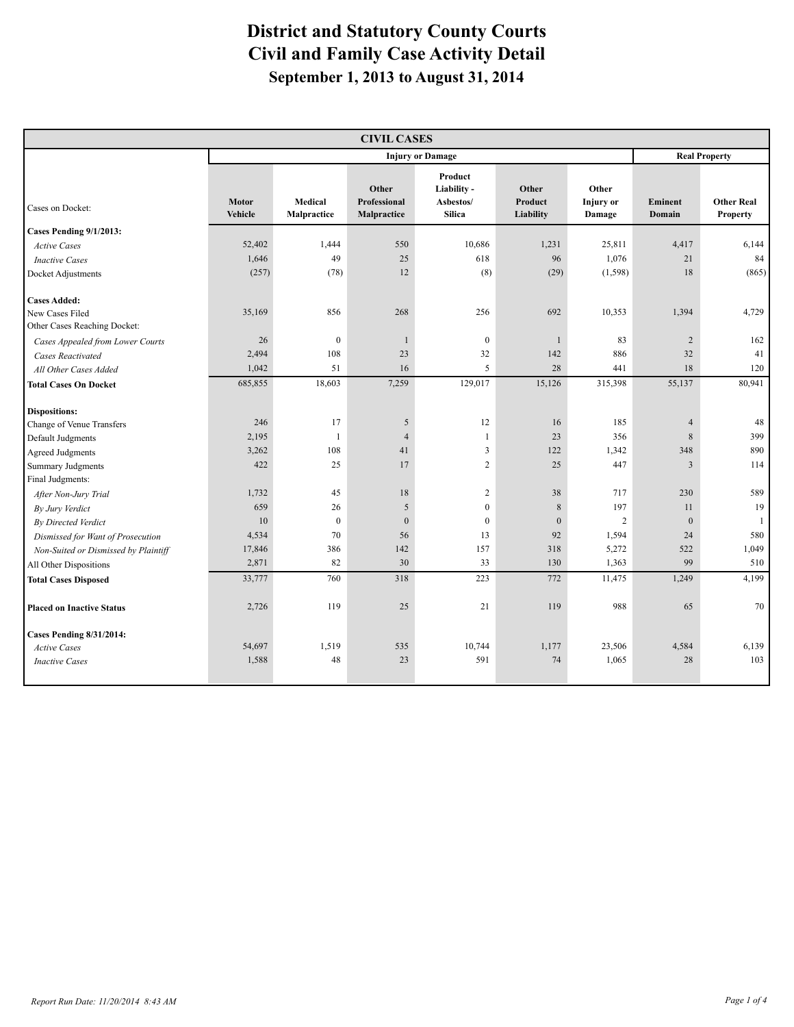| <b>CIVIL CASES</b>                                                                                                                                                                                                                                                                                                                                                                            |                                                                                                   |                                                                                                  |                                                                                                       |                                                                                                                                              |                                                                                              |                                                                                                        |                                                                                                             |                                                                                 |  |  |
|-----------------------------------------------------------------------------------------------------------------------------------------------------------------------------------------------------------------------------------------------------------------------------------------------------------------------------------------------------------------------------------------------|---------------------------------------------------------------------------------------------------|--------------------------------------------------------------------------------------------------|-------------------------------------------------------------------------------------------------------|----------------------------------------------------------------------------------------------------------------------------------------------|----------------------------------------------------------------------------------------------|--------------------------------------------------------------------------------------------------------|-------------------------------------------------------------------------------------------------------------|---------------------------------------------------------------------------------|--|--|
|                                                                                                                                                                                                                                                                                                                                                                                               |                                                                                                   | <b>Injury or Damage</b>                                                                          |                                                                                                       |                                                                                                                                              |                                                                                              |                                                                                                        |                                                                                                             | <b>Real Property</b>                                                            |  |  |
| Cases on Docket:                                                                                                                                                                                                                                                                                                                                                                              | Motor<br>Vehicle                                                                                  | Medical<br>Malpractice                                                                           | Other<br>Professional<br>Malpractice                                                                  | Product<br>Liability -<br>Asbestos/<br><b>Silica</b>                                                                                         | Other<br>Product<br>Liability                                                                | Other<br><b>Injury</b> or<br>Damage                                                                    | Eminent<br>Domain                                                                                           | <b>Other Real</b><br><b>Property</b>                                            |  |  |
| Cases Pending 9/1/2013:                                                                                                                                                                                                                                                                                                                                                                       |                                                                                                   |                                                                                                  |                                                                                                       |                                                                                                                                              |                                                                                              |                                                                                                        |                                                                                                             |                                                                                 |  |  |
| <b>Active Cases</b>                                                                                                                                                                                                                                                                                                                                                                           | 52,402                                                                                            | 1,444                                                                                            | 550                                                                                                   | 10,686                                                                                                                                       | 1,231                                                                                        | 25,811                                                                                                 | 4,417                                                                                                       | 6,144                                                                           |  |  |
| <b>Inactive Cases</b>                                                                                                                                                                                                                                                                                                                                                                         | 1,646                                                                                             | 49                                                                                               | 25                                                                                                    | 618                                                                                                                                          | 96                                                                                           | 1,076                                                                                                  | 21                                                                                                          | 84                                                                              |  |  |
| Docket Adjustments                                                                                                                                                                                                                                                                                                                                                                            | (257)                                                                                             | (78)                                                                                             | 12                                                                                                    | (8)                                                                                                                                          | (29)                                                                                         | (1, 598)                                                                                               | 18                                                                                                          | (865)                                                                           |  |  |
| <b>Cases Added:</b><br>New Cases Filed<br>Other Cases Reaching Docket:                                                                                                                                                                                                                                                                                                                        | 35,169                                                                                            | 856                                                                                              | 268                                                                                                   | 256                                                                                                                                          | 692                                                                                          | 10,353                                                                                                 | 1,394                                                                                                       | 4,729                                                                           |  |  |
| Cases Appealed from Lower Courts                                                                                                                                                                                                                                                                                                                                                              | 26                                                                                                | $\boldsymbol{0}$                                                                                 | $\mathbf{1}$                                                                                          | $\boldsymbol{0}$                                                                                                                             | $\mathbf{1}$                                                                                 | 83                                                                                                     | $\overline{2}$                                                                                              | 162                                                                             |  |  |
| <b>Cases Reactivated</b>                                                                                                                                                                                                                                                                                                                                                                      | 2,494                                                                                             | 108                                                                                              | 23                                                                                                    | 32                                                                                                                                           | 142                                                                                          | 886                                                                                                    | 32                                                                                                          | 41                                                                              |  |  |
| All Other Cases Added                                                                                                                                                                                                                                                                                                                                                                         | 1,042                                                                                             | 51                                                                                               | 16                                                                                                    | 5                                                                                                                                            | 28                                                                                           | 441                                                                                                    | 18                                                                                                          | 120                                                                             |  |  |
| <b>Total Cases On Docket</b>                                                                                                                                                                                                                                                                                                                                                                  | 685,855                                                                                           | 18,603                                                                                           | 7,259                                                                                                 | 129,017                                                                                                                                      | 15,126                                                                                       | 315,398                                                                                                | 55,137                                                                                                      | 80,941                                                                          |  |  |
| <b>Dispositions:</b><br>Change of Venue Transfers<br>Default Judgments<br><b>Agreed Judgments</b><br><b>Summary Judgments</b><br>Final Judgments:<br>After Non-Jury Trial<br>By Jury Verdict<br>By Directed Verdict<br>Dismissed for Want of Prosecution<br>Non-Suited or Dismissed by Plaintiff<br>All Other Dispositions<br><b>Total Cases Disposed</b><br><b>Placed on Inactive Status</b> | 246<br>2,195<br>3,262<br>422<br>1,732<br>659<br>10<br>4,534<br>17,846<br>2,871<br>33,777<br>2,726 | 17<br>$\mathbf{1}$<br>108<br>25<br>45<br>26<br>$\boldsymbol{0}$<br>70<br>386<br>82<br>760<br>119 | 5<br>$\overline{4}$<br>41<br>17<br>18<br>$\sqrt{5}$<br>$\overline{0}$<br>56<br>142<br>30<br>318<br>25 | 12<br>$\mathbf{1}$<br>$\overline{3}$<br>$\overline{c}$<br>$\sqrt{2}$<br>$\boldsymbol{0}$<br>$\boldsymbol{0}$<br>13<br>157<br>33<br>223<br>21 | 16<br>23<br>122<br>25<br>38<br>$\,$ 8 $\,$<br>$\mathbf{0}$<br>92<br>318<br>130<br>772<br>119 | 185<br>356<br>1,342<br>447<br>717<br>197<br>$\overline{2}$<br>1,594<br>5,272<br>1,363<br>11,475<br>988 | $\overline{4}$<br>$8\phantom{.}$<br>348<br>3<br>230<br>11<br>$\mathbf{0}$<br>24<br>522<br>99<br>1,249<br>65 | 48<br>399<br>890<br>114<br>589<br>19<br>1<br>580<br>1,049<br>510<br>4,199<br>70 |  |  |
| Cases Pending 8/31/2014:<br><b>Active Cases</b><br><b>Inactive Cases</b>                                                                                                                                                                                                                                                                                                                      | 54,697<br>1,588                                                                                   | 1,519<br>48                                                                                      | 535<br>23                                                                                             | 10,744<br>591                                                                                                                                | 1,177<br>74                                                                                  | 23,506<br>1,065                                                                                        | 4,584<br>28                                                                                                 | 6,139<br>103                                                                    |  |  |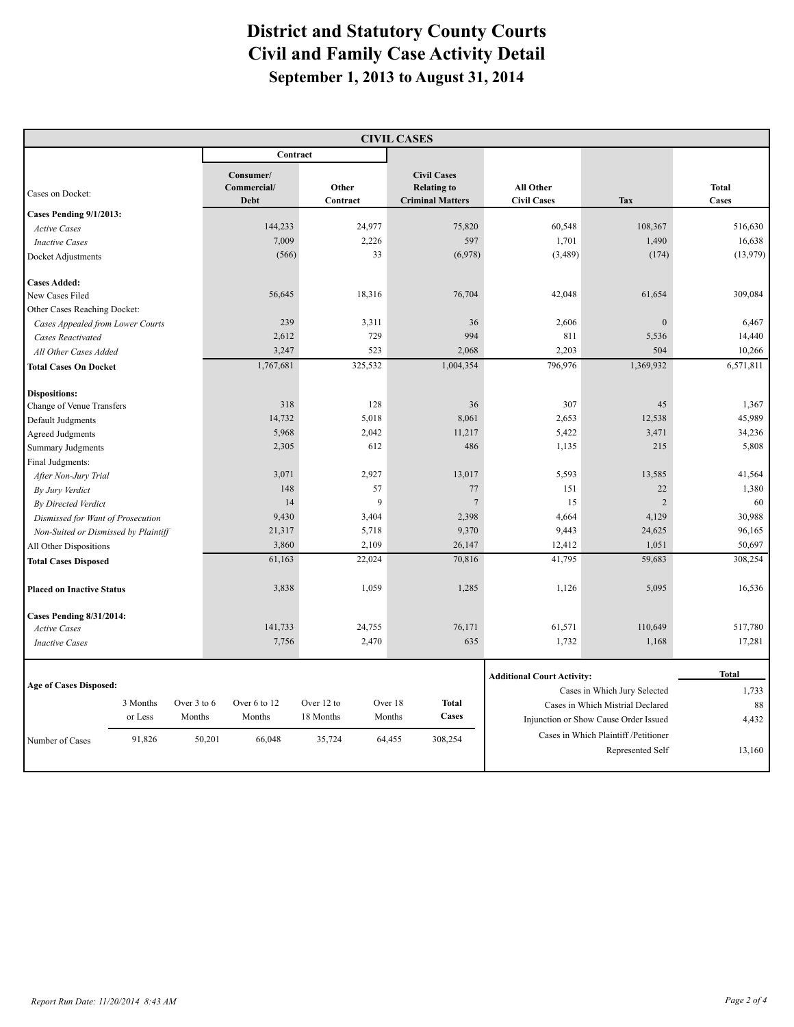| <b>CIVIL CASES</b>                   |          |             |                                         |                   |         |                                                                     |                                   |                                       |                       |
|--------------------------------------|----------|-------------|-----------------------------------------|-------------------|---------|---------------------------------------------------------------------|-----------------------------------|---------------------------------------|-----------------------|
|                                      |          |             | Contract                                |                   |         |                                                                     |                                   |                                       |                       |
| Cases on Docket:                     |          |             | Consumer/<br>Commercial/<br><b>Debt</b> | Other<br>Contract |         | <b>Civil Cases</b><br><b>Relating to</b><br><b>Criminal Matters</b> | All Other<br><b>Civil Cases</b>   | <b>Tax</b>                            | <b>Total</b><br>Cases |
| Cases Pending 9/1/2013:              |          |             |                                         |                   |         |                                                                     |                                   |                                       |                       |
| <b>Active Cases</b>                  |          |             | 144,233                                 |                   | 24,977  | 75,820                                                              | 60,548                            | 108,367                               | 516,630               |
| <b>Inactive Cases</b>                |          |             | 7,009                                   |                   | 2,226   | 597                                                                 | 1,701                             | 1,490                                 | 16,638                |
| Docket Adjustments                   |          |             | (566)                                   |                   | 33      | (6,978)                                                             | (3,489)                           | (174)                                 | (13,979)              |
| <b>Cases Added:</b>                  |          |             |                                         |                   |         |                                                                     |                                   |                                       |                       |
| New Cases Filed                      |          |             | 56,645                                  |                   | 18,316  | 76,704                                                              | 42,048                            | 61,654                                | 309,084               |
| Other Cases Reaching Docket:         |          |             |                                         |                   |         |                                                                     |                                   |                                       |                       |
| Cases Appealed from Lower Courts     |          |             | 239                                     |                   | 3,311   | 36                                                                  | 2,606                             | $\boldsymbol{0}$                      | 6,467                 |
| <b>Cases Reactivated</b>             |          |             | 2,612                                   |                   | 729     | 994                                                                 | 811                               | 5,536                                 | 14,440                |
| All Other Cases Added                |          |             | 3,247                                   |                   | 523     | 2,068                                                               | 2,203                             | 504                                   | 10,266                |
| <b>Total Cases On Docket</b>         |          |             | 1,767,681                               |                   | 325,532 | 1,004,354                                                           | 796,976                           | 1,369,932                             | 6,571,811             |
| <b>Dispositions:</b>                 |          |             |                                         |                   |         |                                                                     |                                   |                                       |                       |
| Change of Venue Transfers            |          |             | 318                                     |                   | 128     | 36                                                                  | 307                               | 45                                    | 1,367                 |
| Default Judgments                    |          |             | 14,732                                  |                   | 5,018   | 8,061                                                               | 2,653                             | 12,538                                | 45,989                |
| <b>Agreed Judgments</b>              |          |             | 5,968                                   |                   | 2,042   | 11,217                                                              | 5,422                             | 3,471                                 | 34,236                |
| <b>Summary Judgments</b>             |          |             | 2,305                                   |                   | 612     | 486                                                                 | 1,135                             | 215                                   | 5,808                 |
| Final Judgments:                     |          |             |                                         |                   |         |                                                                     |                                   |                                       |                       |
| After Non-Jury Trial                 |          |             | 3,071                                   |                   | 2,927   | 13,017                                                              | 5,593                             | 13,585                                | 41,564                |
| By Jury Verdict                      |          |             | 148                                     |                   | 57      | 77                                                                  | 151                               | 22                                    | 1,380                 |
| By Directed Verdict                  |          |             | 14                                      |                   | 9       | $7\phantom{.0}$                                                     | 15                                | $\overline{2}$                        | 60                    |
| Dismissed for Want of Prosecution    |          |             | 9,430                                   |                   | 3,404   | 2,398                                                               | 4,664                             | 4,129                                 | 30,988                |
| Non-Suited or Dismissed by Plaintiff |          |             | 21,317                                  |                   | 5,718   | 9,370                                                               | 9,443                             | 24,625                                | 96,165                |
| All Other Dispositions               |          |             | 3,860                                   |                   | 2,109   | 26,147                                                              | 12,412                            | 1,051                                 | 50,697                |
| <b>Total Cases Disposed</b>          |          |             | 61,163                                  |                   | 22,024  | 70,816                                                              | 41,795                            | 59,683                                | 308,254               |
| <b>Placed on Inactive Status</b>     |          |             | 3,838                                   |                   | 1,059   | 1,285                                                               | 1,126                             | 5,095                                 | 16,536                |
| <b>Cases Pending 8/31/2014:</b>      |          |             |                                         |                   |         |                                                                     |                                   |                                       |                       |
| <b>Active Cases</b>                  |          |             | 141,733                                 |                   | 24,755  | 76,171                                                              | 61,571                            | 110,649                               | 517,780               |
| <b>Inactive Cases</b>                |          |             | 7,756                                   |                   | 2,470   | 635                                                                 | 1,732                             | 1,168                                 | 17,281                |
|                                      |          |             |                                         |                   |         |                                                                     | <b>Additional Court Activity:</b> |                                       | <b>Total</b>          |
| <b>Age of Cases Disposed:</b>        |          |             |                                         |                   |         |                                                                     |                                   | Cases in Which Jury Selected          | 1,733                 |
|                                      | 3 Months | Over 3 to 6 | Over 6 to 12                            | Over 12 to        |         | Over 18<br><b>Total</b>                                             |                                   | Cases in Which Mistrial Declared      | 88                    |
|                                      | or Less  | Months      | Months                                  | 18 Months         |         | Cases<br>Months                                                     |                                   | Injunction or Show Cause Order Issued | 4,432                 |
|                                      |          |             |                                         |                   |         |                                                                     |                                   | Cases in Which Plaintiff /Petitioner  |                       |
| Number of Cases                      | 91,826   |             | 50,201<br>66,048                        | 35,724            |         | 308,254<br>64,455                                                   |                                   | Represented Self                      | 13,160                |
|                                      |          |             |                                         |                   |         |                                                                     |                                   |                                       |                       |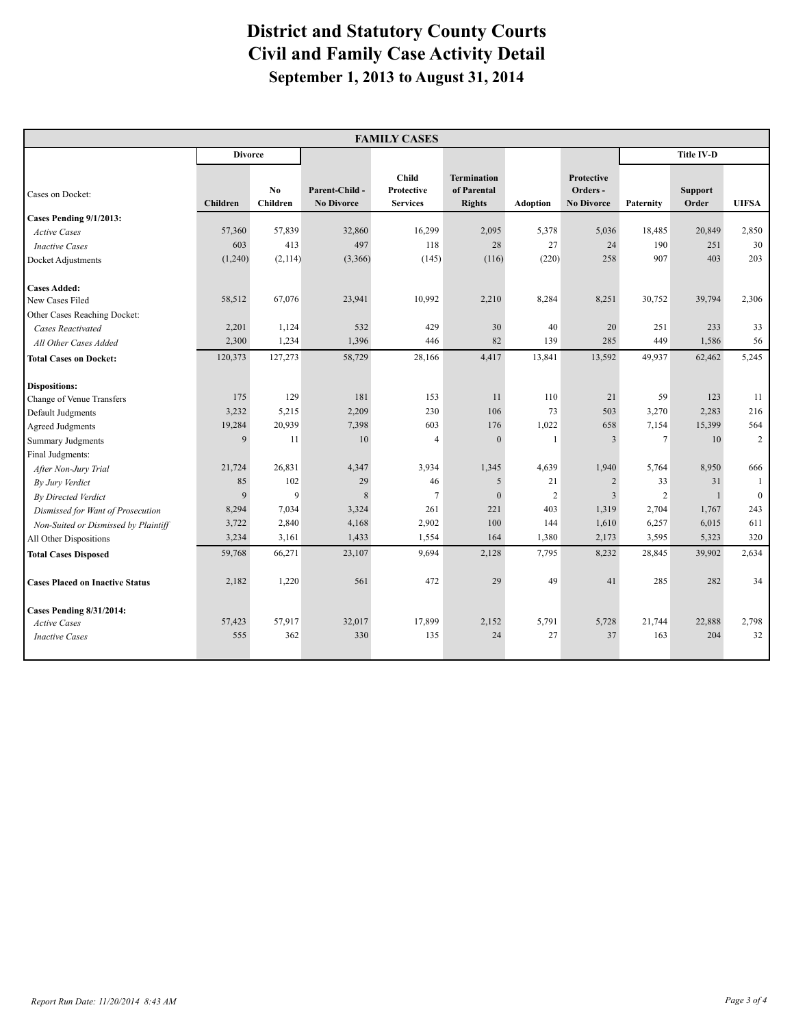| <b>FAMILY CASES</b>                    |                 |                 |                                    |                                               |                                                    |                 |                                                    |                   |                         |                |
|----------------------------------------|-----------------|-----------------|------------------------------------|-----------------------------------------------|----------------------------------------------------|-----------------|----------------------------------------------------|-------------------|-------------------------|----------------|
|                                        | <b>Divorce</b>  |                 |                                    |                                               |                                                    |                 |                                                    | <b>Title IV-D</b> |                         |                |
| Cases on Docket:                       | <b>Children</b> | No.<br>Children | Parent-Child-<br><b>No Divorce</b> | <b>Child</b><br>Protective<br><b>Services</b> | <b>Termination</b><br>of Parental<br><b>Rights</b> | <b>Adoption</b> | <b>Protective</b><br>Orders -<br><b>No Divorce</b> | <b>Paternity</b>  | <b>Support</b><br>Order | <b>UIFSA</b>   |
| <b>Cases Pending 9/1/2013:</b>         |                 |                 |                                    |                                               |                                                    |                 |                                                    |                   |                         |                |
| <b>Active Cases</b>                    | 57,360          | 57,839          | 32,860                             | 16,299                                        | 2,095                                              | 5,378           | 5,036                                              | 18,485            | 20,849                  | 2,850          |
| <b>Inactive Cases</b>                  | 603             | 413             | 497                                | 118                                           | 28                                                 | 27              | 24                                                 | 190               | 251                     | 30             |
| Docket Adjustments                     | (1,240)         | (2,114)         | (3,366)                            | (145)                                         | (116)                                              | (220)           | 258                                                | 907               | 403                     | 203            |
| <b>Cases Added:</b><br>New Cases Filed | 58,512          | 67,076          | 23,941                             | 10,992                                        | 2,210                                              | 8,284           | 8,251                                              | 30,752            | 39,794                  | 2,306          |
| Other Cases Reaching Docket:           |                 |                 |                                    |                                               |                                                    |                 |                                                    |                   |                         |                |
| <b>Cases Reactivated</b>               | 2,201           | 1,124           | 532                                | 429                                           | 30                                                 | 40              | 20                                                 | 251               | 233                     | 33             |
| All Other Cases Added                  | 2,300           | 1,234           | 1,396                              | 446                                           | 82                                                 | 139             | 285                                                | 449               | 1,586                   | 56             |
| <b>Total Cases on Docket:</b>          | 120,373         | 127,273         | 58,729                             | 28,166                                        | 4,417                                              | 13,841          | 13,592                                             | 49,937            | 62,462                  | 5,245          |
| <b>Dispositions:</b>                   |                 |                 |                                    |                                               |                                                    |                 |                                                    |                   |                         |                |
| Change of Venue Transfers              | 175             | 129             | 181                                | 153                                           | 11                                                 | 110             | 21                                                 | 59                | 123                     | 11             |
| Default Judgments                      | 3,232           | 5,215           | 2,209                              | 230                                           | 106                                                | 73              | 503                                                | 3,270             | 2,283                   | 216            |
| <b>Agreed Judgments</b>                | 19,284          | 20,939          | 7,398                              | 603                                           | 176                                                | 1,022           | 658                                                | 7,154             | 15,399                  | 564            |
| Summary Judgments                      | 9               | 11              | 10                                 | $\overline{4}$                                | $\mathbf{0}$                                       | $\overline{1}$  | 3                                                  | $\overline{7}$    | 10                      | $\overline{2}$ |
| Final Judgments:                       |                 |                 |                                    |                                               |                                                    |                 |                                                    |                   |                         |                |
| After Non-Jury Trial                   | 21,724          | 26,831          | 4,347                              | 3,934                                         | 1,345                                              | 4,639           | 1,940                                              | 5,764             | 8,950                   | 666            |
| By Jury Verdict                        | 85              | 102             | 29                                 | 46                                            | 5                                                  | 21              | 2                                                  | 33                | 31                      | $\mathbf{1}$   |
| <b>By Directed Verdict</b>             | 9               | 9               | $\,8\,$                            | $\overline{7}$                                | $\mathbf{0}$                                       | $\sqrt{2}$      | $\overline{3}$                                     | $\overline{2}$    |                         | $\bf{0}$       |
| Dismissed for Want of Prosecution      | 8,294           | 7,034           | 3,324                              | 261                                           | 221                                                | 403             | 1,319                                              | 2,704             | 1,767                   | 243            |
| Non-Suited or Dismissed by Plaintiff   | 3,722           | 2,840           | 4,168                              | 2,902                                         | 100<br>164                                         | 144             | 1,610                                              | 6,257             | 6,015                   | 611            |
| All Other Dispositions                 | 3,234           | 3,161           | 1,433                              | 1,554                                         |                                                    | 1,380           | 2,173                                              | 3,595             | 5,323                   | 320            |
| <b>Total Cases Disposed</b>            | 59,768          | 66,271          | 23,107                             | 9,694                                         | 2,128                                              | 7,795           | 8,232                                              | 28,845            | 39,902                  | 2,634          |
| <b>Cases Placed on Inactive Status</b> | 2,182           | 1,220           | 561                                | 472                                           | 29                                                 | 49              | 41                                                 | 285               | 282                     | 34             |
| <b>Cases Pending 8/31/2014:</b>        |                 |                 |                                    |                                               |                                                    |                 |                                                    |                   |                         |                |
| <b>Active Cases</b>                    | 57,423          | 57,917          | 32,017                             | 17,899                                        | 2,152                                              | 5,791           | 5,728                                              | 21,744            | 22,888                  | 2,798          |
| <b>Inactive Cases</b>                  | 555             | 362             | 330                                | 135                                           | 24                                                 | 27              | 37                                                 | 163               | 204                     | 32             |